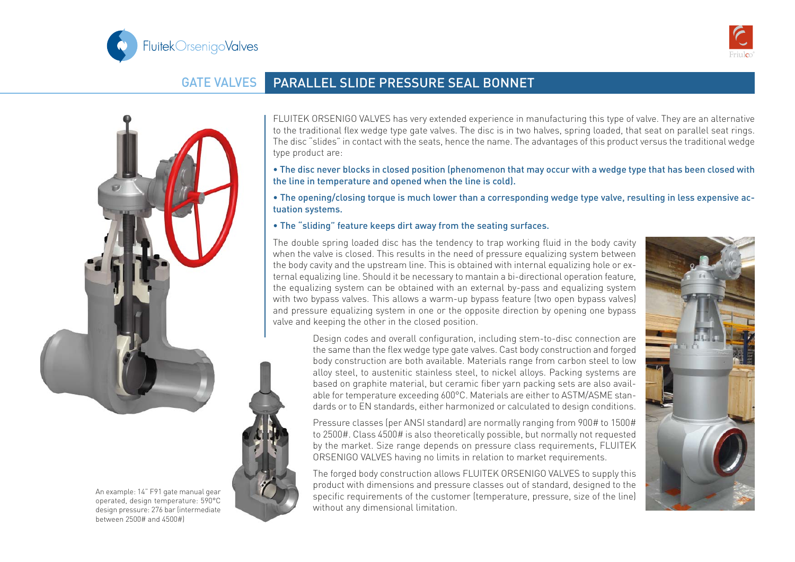



## GATE VALVES PARALLEL SLIDE PRESSURE SEAL BONNET





FLUITEK ORSENIGO VALVES has very extended experience in manufacturing this type of valve. They are an alternative to the traditional flex wedge type gate valves. The disc is in two halves, spring loaded, that seat on parallel seat rings. The disc "slides" in contact with the seats, hence the name. The advantages of this product versus the traditional wedge type product are:

- The disc never blocks in closed position (phenomenon that may occur with a wedge type that has been closed with the line in temperature and opened when the line is cold).
- The opening/closing torque is much lower than a corresponding wedge type valve, resulting in less expensive actuation systems.
- The "sliding" feature keeps dirt away from the seating surfaces.

The double spring loaded disc has the tendency to trap working fluid in the body cavity when the valve is closed. This results in the need of pressure equalizing system between the body cavity and the upstream line. This is obtained with internal equalizing hole or external equalizing line. Should it be necessary to mantain a bi-directional operation feature, the equalizing system can be obtained with an external by-pass and equalizing system with two bypass valves. This allows a warm-up bypass feature (two open bypass valves) and pressure equalizing system in one or the opposite direction by opening one bypass valve and keeping the other in the closed position.

> Design codes and overall configuration, including stem-to-disc connection are the same than the flex wedge type gate valves. Cast body construction and forged body construction are both available. Materials range from carbon steel to low alloy steel, to austenitic stainless steel, to nickel alloys. Packing systems are based on graphite material, but ceramic fiber yarn packing sets are also available for temperature exceeding 600°C. Materials are either to ASTM/ASME standards or to EN standards, either harmonized or calculated to design conditions.

> Pressure classes (per ANSI standard) are normally ranging from 900# to 1500# to 2500#. Class 4500# is also theoretically possible, but normally not requested by the market. Size range depends on pressure class requirements, FLUITEK ORSENIGO VALVES having no limits in relation to market requirements.

> The forged body construction allows FLUITEK ORSENIGO VALVES to supply this product with dimensions and pressure classes out of standard, designed to the specific requirements of the customer (temperature, pressure, size of the line) without any dimensional limitation.



An example: 14" F91 gate manual gear operated, design temperature: 590°C design pressure: 276 bar (intermediate between 2500# and 4500#)